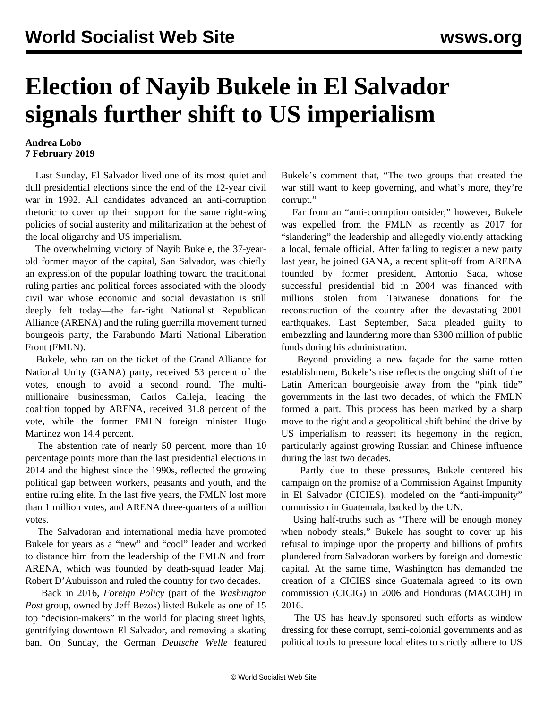## **Election of Nayib Bukele in El Salvador signals further shift to US imperialism**

## **Andrea Lobo 7 February 2019**

 Last Sunday, El Salvador lived one of its most quiet and dull presidential elections since the end of the 12-year civil war in 1992. All candidates advanced an anti-corruption rhetoric to cover up their support for the same right-wing policies of social austerity and militarization at the behest of the local oligarchy and US imperialism.

 The overwhelming victory of Nayib Bukele, the 37-yearold former mayor of the capital, San Salvador, was chiefly an expression of the popular loathing toward the traditional ruling parties and political forces associated with the bloody civil war whose economic and social devastation is still deeply felt today—the far-right Nationalist Republican Alliance (ARENA) and the ruling guerrilla movement turned bourgeois party, the Farabundo Martí National Liberation Front (FMLN).

 Bukele, who ran on the ticket of the Grand Alliance for National Unity (GANA) party, received 53 percent of the votes, enough to avoid a second round. The multimillionaire businessman, Carlos Calleja, leading the coalition topped by ARENA, received 31.8 percent of the vote, while the former FMLN foreign minister Hugo Martinez won 14.4 percent.

 The abstention rate of nearly 50 percent, more than 10 percentage points more than the last presidential elections in 2014 and the highest since the 1990s, reflected the growing political gap between workers, peasants and youth, and the entire ruling elite. In the last five years, the FMLN lost more than 1 million votes, and ARENA three-quarters of a million votes.

 The Salvadoran and international media have promoted Bukele for years as a "new" and "cool" leader and worked to distance him from the leadership of the FMLN and from ARENA, which was founded by death-squad leader Maj. Robert D'Aubuisson and ruled the country for two decades.

 Back in 2016, *Foreign Policy* (part of the *Washington Post* group, owned by Jeff Bezos) listed Bukele as one of 15 top "decision-makers" in the world for placing street lights, gentrifying downtown El Salvador, and removing a skating ban. On Sunday, the German *Deutsche Welle* featured Bukele's comment that, "The two groups that created the war still want to keep governing, and what's more, they're corrupt."

 Far from an "anti-corruption outsider," however, Bukele was expelled from the FMLN as recently as 2017 for "slandering" the leadership and allegedly violently attacking a local, female official. After failing to register a new party last year, he joined GANA, a recent split-off from ARENA founded by former president, Antonio Saca, whose successful presidential bid in 2004 was financed with millions stolen from Taiwanese donations for the reconstruction of the country after the devastating 2001 earthquakes. Last September, Saca pleaded guilty to embezzling and laundering more than \$300 million of public funds during his administration.

 Beyond providing a new façade for the same rotten establishment, Bukele's rise reflects the ongoing shift of the Latin American bourgeoisie away from the "pink tide" governments in the last two decades, of which the FMLN formed a part. This process has been marked by a sharp move to the right and a geopolitical shift behind the drive by US imperialism to reassert its hegemony in the region, particularly against growing Russian and Chinese influence during the last two decades.

 Partly due to these pressures, Bukele centered his campaign on the promise of a Commission Against Impunity in El Salvador (CICIES), modeled on the "anti-impunity" commission in Guatemala, backed by the UN.

 Using half-truths such as "There will be enough money when nobody steals," Bukele has sought to cover up his refusal to impinge upon the property and billions of profits plundered from Salvadoran workers by foreign and domestic capital. At the same time, Washington has demanded the creation of a CICIES since Guatemala agreed to its own commission (CICIG) in 2006 and Honduras (MACCIH) in 2016.

 The US has heavily sponsored such efforts as window dressing for these corrupt, semi-colonial governments and as political tools to pressure local elites to strictly adhere to US